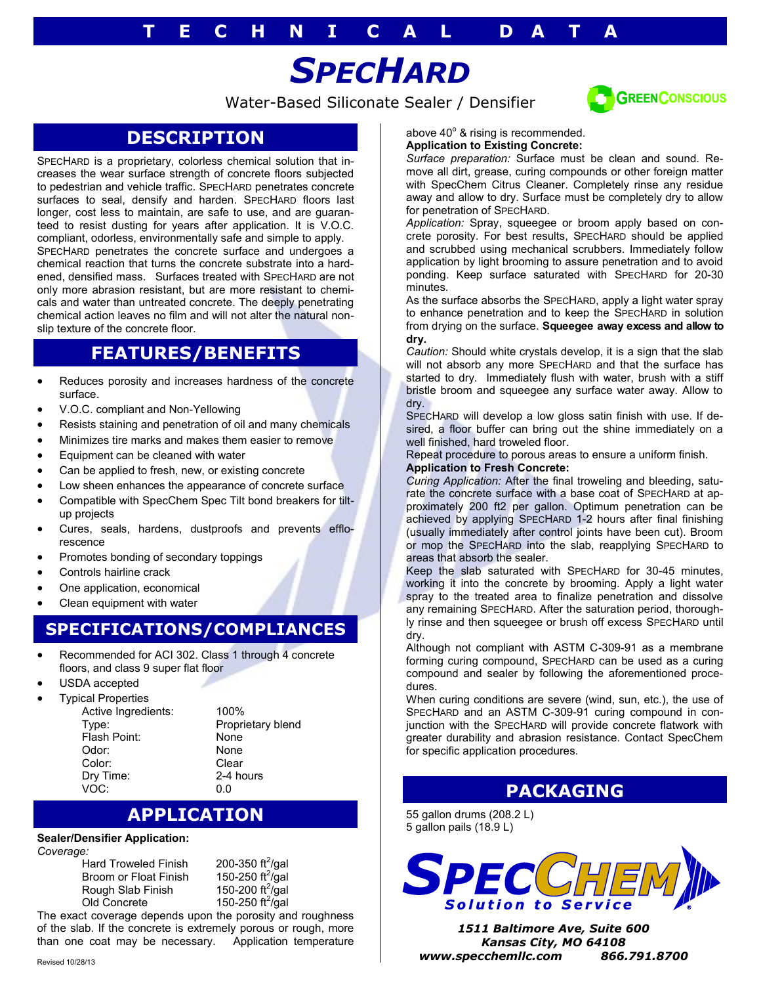## **T E C H N I C A L D A T A**

# *SPECHARD*

Water-Based Siliconate Sealer / Densifier



### **DESCRIPTION**

SPECHARD is a proprietary, colorless chemical solution that increases the wear surface strength of concrete floors subjected to pedestrian and vehicle traffic. SPECHARD penetrates concrete surfaces to seal, densify and harden. SPECHARD floors last longer, cost less to maintain, are safe to use, and are guaranteed to resist dusting for years after application. It is V.O.C. compliant, odorless, environmentally safe and simple to apply. SPECHARD penetrates the concrete surface and undergoes a chemical reaction that turns the concrete substrate into a hardened, densified mass. Surfaces treated with SPECHARD are not only more abrasion resistant, but are more resistant to chemicals and water than untreated concrete. The deeply penetrating chemical action leaves no film and will not alter the natural nonslip texture of the concrete floor.

### **FEATURES/BENEFITS**

- Reduces porosity and increases hardness of the concrete surface.
- V.O.C. compliant and Non-Yellowing
- Resists staining and penetration of oil and many chemicals
- Minimizes tire marks and makes them easier to remove
- Equipment can be cleaned with water
- Can be applied to fresh, new, or existing concrete
- Low sheen enhances the appearance of concrete surface
- Compatible with SpecChem Spec Tilt bond breakers for tiltup projects
- Cures, seals, hardens, dustproofs and prevents efflorescence
- Promotes bonding of secondary toppings
- Controls hairline crack
- One application, economical
- Clean equipment with water

#### **SPECIFICATIONS/COMPLIANCES**

- Recommended for ACI 302. Class 1 through 4 concrete floors, and class 9 super flat floor
- USDA accepted
- Typical Properties

| Active Ingredients: | 100     |
|---------------------|---------|
| Type:               | Prc     |
| Flash Point:        | No      |
| Odor:               | No      |
| Color:              | Cle     |
| Dry Time:           | $2 - 4$ |
| VOC:                | 0.0     |

 $n$ ts: 100% Proprietary blend None None Clear 2-4 hours

### **APPLICATION**

#### **Sealer/Densifier Application:** *Coverage:*

Hard Troweled Finish Broom or Float Finish Rough Slab Finish Old Concrete

200-350  $ft^2$ /gal 150-250 ft<sup>2</sup>/gal 150-200 ft<sup>2</sup>/gal 150-250 ft<sup>2</sup>/gal

The exact coverage depends upon the porosity and roughness of the slab. If the concrete is extremely porous or rough, more than one coat may be necessary. Application temperature

*Surface preparation:* Surface must be clean and sound. Remove all dirt, grease, curing compounds or other foreign matter with SpecChem Citrus Cleaner. Completely rinse any residue away and allow to dry. Surface must be completely dry to allow for penetration of SPECHARD.

*Application:* Spray, squeegee or broom apply based on concrete porosity. For best results, SPECHARD should be applied and scrubbed using mechanical scrubbers. Immediately follow application by light brooming to assure penetration and to avoid ponding. Keep surface saturated with SPECHARD for 20-30 minutes.

As the surface absorbs the SPECHARD, apply a light water spray to enhance penetration and to keep the SPECHARD in solution from drying on the surface. **Squeegee away excess and allow to dry.**

*Caution:* Should white crystals develop, it is a sign that the slab will not absorb any more SPECHARD and that the surface has started to dry. Immediately flush with water, brush with a stiff bristle broom and squeegee any surface water away. Allow to dry.

SPECHARD will develop a low gloss satin finish with use. If desired, a floor buffer can bring out the shine immediately on a well finished, hard troweled floor.

Repeat procedure to porous areas to ensure a uniform finish.

#### **Application to Fresh Concrete:**

*Curing Application:* After the final troweling and bleeding, saturate the concrete surface with a base coat of SPECHARD at approximately 200 ft2 per gallon. Optimum penetration can be achieved by applying SPECHARD 1-2 hours after final finishing (usually immediately after control joints have been cut). Broom or mop the SPECHARD into the slab, reapplying SPECHARD to areas that absorb the sealer.

Keep the slab saturated with SPECHARD for 30-45 minutes, working it into the concrete by brooming. Apply a light water spray to the treated area to finalize penetration and dissolve any remaining SPECHARD. After the saturation period, thoroughly rinse and then squeegee or brush off excess SPECHARD until dry.

Although not compliant with ASTM C-309-91 as a membrane forming curing compound, SPECHARD can be used as a curing compound and sealer by following the aforementioned procedures.

When curing conditions are severe (wind, sun, etc.), the use of SPECHARD and an ASTM C-309-91 curing compound in conjunction with the SPECHARD will provide concrete flatwork with greater durability and abrasion resistance. Contact SpecChem for specific application procedures.

#### **PACKAGING**

55 gallon drums (208.2 L) 5 gallon pails (18.9 L)



*1511 Baltimore Ave, Suite 600 Kansas City, MO 64108 www.specchemllc.com 866.791.8700*